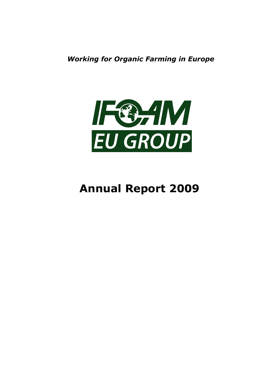*Working for Organic Farming in Europe*



# **Annual Report 2009**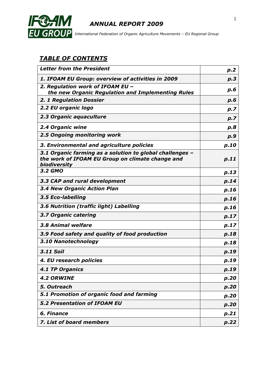

 *International Federation of Organic Agriculture Movements – EU Regional Group*

## *TABLE OF CONTENTS*

| <b>Letter from the President</b>                                                                                             | p.2  |
|------------------------------------------------------------------------------------------------------------------------------|------|
| <b>1. IFOAM EU Group: overview of activities in 2009</b>                                                                     | p.3  |
| 2. Regulation work of IFOAM EU -                                                                                             | p.6  |
| the new Organic Regulation and Implementing Rules                                                                            |      |
| <b>2. 1 Regulation Dossier</b>                                                                                               | p.6  |
| 2.2 EU organic logo                                                                                                          | p.7  |
| 2.3 Organic aquaculture                                                                                                      | p.7  |
| 2.4 Organic wine                                                                                                             | p.8  |
| 2.5 Ongoing monitoring work                                                                                                  | p.9  |
| 3. Environmental and agriculture policies                                                                                    | p.10 |
| 3.1 Organic farming as a solution to global challenges -<br>the work of IFOAM EU Group on climate change and<br>biodiversity | p.11 |
| 3.2 GMO                                                                                                                      | p.13 |
| 3.3 CAP and rural development                                                                                                | p.14 |
| <b>3.4 New Organic Action Plan</b>                                                                                           | p.16 |
| 3.5 Eco-labelling                                                                                                            | p.16 |
| 3.6 Nutrition (traffic light) Labelling                                                                                      | p.16 |
| 3.7 Organic catering                                                                                                         | p.17 |
| 3.8 Animal welfare                                                                                                           | p.17 |
| 3.9 Food safety and quality of food production                                                                               | p.18 |
| 3.10 Nanotechnology                                                                                                          | p.18 |
| <b>3.11 Soil</b>                                                                                                             | p.19 |
| 4. EU research policies                                                                                                      | p.19 |
| <b>4.1 TP Organics</b>                                                                                                       | p.19 |
| <b>4.2 ORWINE</b>                                                                                                            | p.20 |
| 5. Outreach                                                                                                                  | p.20 |
| 5.1 Promotion of organic food and farming                                                                                    | p.20 |
| <b>5.2 Presentation of IFOAM EU</b>                                                                                          | p.20 |
| 6. Finance                                                                                                                   | p.21 |
| 7. List of board members                                                                                                     | p.22 |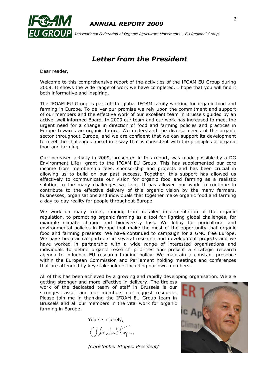

 *International Federation of Organic Agriculture Movements – EU Regional Group*

## *Letter from the President*

Dear reader,

Welcome to this comprehensive report of the activities of the IFOAM EU Group during 2009. It shows the wide range of work we have completed. I hope that you will find it both informative and inspiring.

The IFOAM EU Group is part of the global IFOAM family working for organic food and farming in Europe. To deliver our promise we rely upon the commitment and support of our members and the effective work of our excellent team in Brussels guided by an active, well informed Board. In 2009 our team and our work has increased to meet the urgent need for a change in direction of food and farming policies and practices in Europe towards an organic future. We understand the diverse needs of the organic sector throughout Europe, and we are confident that we can support its development to meet the challenges ahead in a way that is consistent with the principles of organic food and farming.

Our increased activity in 2009, presented in this report, was made possible by a DG Environment Life+ grant to the IFOAM EU Group. This has supplemented our core income from membership fees, sponsorship and projects and has been crucial in allowing us to build on our past success. Together, this support has allowed us effectively to communicate our vision for organic food and farming as a realistic solution to the many challenges we face. It has allowed our work to continue to contribute to the effective delivery of this organic vision by the many farmers, businesses, organisations and individuals that together make organic food and farming a day-to-day reality for people throughout Europe.

We work on many fronts, ranging from detailed implementation of the organic regulation, to promoting organic farming as a tool for fighting global challenges, for example climate change and biodiversity loss. We lobby for agricultural and environmental policies in Europe that make the most of the opportunity that organic food and farming presents. We have continued to campaign for a GMO free Europe. We have been active partners in several research and development projects and we have worked in partnership with a wide range of interested organisations and individuals to define organic research priorities and present a strategic research agenda to influence EU research funding policy. We maintain a constant presence within the European Commission and Parliament holding meetings and conferences that are attended by key stakeholders including our own members.

All of this has been achieved by a growing and rapidly developing organisation. We are

getting stronger and more effective in delivery. The tireless work of the dedicated team of staff in Brussels is our strongest asset and our members our biggest resource. Please join me in thanking the IFOAM EU Group team in Brussels and all our members in the vital work for organic farming in Europe.

Yours sincerely,

abopter Stopes

/*Christopher Stopes, President/*

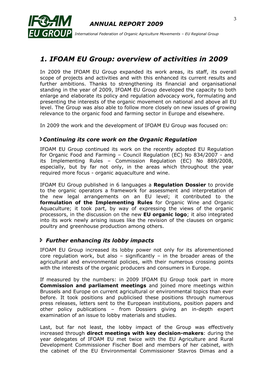

## *1. IFOAM EU Group: overview of activities in 2009*

In 2009 the IFOAM EU Group expanded its work areas, its staff, its overall scope of projects and activities and with this enhanced its current results and further ambitions. Thanks to strengthening its financial and organisational standing in the year of 2009, IFOAM EU Group developed the capacity to both enlarge and elaborate its policy and regulation advocacy work, formulating and presenting the interests of the organic movement on national and above all EU level. The Group was also able to follow more closely on new issues of growing relevance to the organic food and farming sector in Europe and elsewhere.

In 2009 the work and the development of IFOAM EU Group was focused on:

## *Continuing its core work on the Organic Regulation*

IFOAM EU Group continued its work on the recently adopted EU Regulation for Organic Food and Farming – Council Regulation (EC) No 834/2007 - and its Implementing Rules – Commission Regulation (EC) No 889/2008, especially, but by far not only, in the areas which throughout the year required more focus - organic aquaculture and wine.

IFOAM EU Group published in 6 languages a **Regulation Dossier** to provide to the organic operators a framework for assessment and interpretation of the new legal arrangements on an EU level; it contributed to the **formulation of the Implementing Rules** for Organic Wine and Organic Aquaculture; it took part, by way of expressing the views of the organic processors, in the discussion on the new **EU organic logo**; it also integrated into its work newly arising issues like the revision of the clauses on organic poultry and greenhouse production among others.

## *Further enhancing its lobby impacts*

IFOAM EU Group increased its lobby power not only for its aforementioned core regulation work, but also – significantly – in the broader areas of the agricultural and environmental policies, with their numerous crossing points with the interests of the organic producers and consumers in Europe.

If measured by the numbers: in 2009 IFOAM EU Group took part in more **Commission and parliament meetings** and joined more meetings within Brussels and Europe on current agricultural or environmental topics than ever before. It took positions and publicised these positions through numerous press releases, letters sent to the European institutions, position papers and other policy publications – from Dossiers giving an in-depth expert examination of an issue to lobby materials and studies.

Last, but far not least, the lobby impact of the Group was effectively increased through **direct meetings with key decision-makers**: during the year delegates of IFOAM EU met twice with the EU Agriculture and Rural Development Commissioner Fischer Boel and members of her cabinet, with the cabinet of the EU Environmental Commissioner Stavros Dimas and a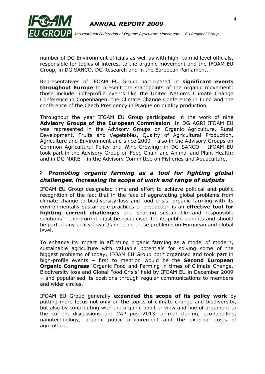



number of DG Environment officials as well as with high- to mid level officials, responsible for topics of interest to the organic movement and the IFOAM EU Group, in DG SANCO, DG Research and in the European Parliament.

Representatives of IFOAM EU Group participated in **significant events throughout Europe** to present the standpoints of the organic movement: those include high-profile events like the United Nation"s Climate Change Conference in Copenhagen, the Climate Change Conference in Lund and the conference of the Czech Presidency in Prague on quality production.

Throughout the year IFOAM EU Group participated in the work of nine **Advisory Groups of the European Commission**. In DG AGRI IFOAM EU was represented in the Advisory Groups on Organic Agriculture, Rural Development, Fruits and Vegetables, Quality of Agricultural Production, Agriculture and Environment and since 2009 – also in the Advisory Groups on Common Agricultural Policy and Wine-Growing; in DG SANCO – IFOAM EU took part in the Advisory Group on Food Chain and Animal and Plant Health; and in DG MARE – in the Advisory Committee on Fisheries and Aquaculture.

#### *Promoting organic farming as a tool for fighting global challenges, increasing its scope of work and range of outputs*

IFOAM EU Group designated time and effort to achieve political and public recognition of the fact that in the face of aggravating global problems from climate change to biodiversity loss and food crisis, organic farming with its environmentally sustainable practices of production is an **effective tool for fighting current challenges** and shaping sustainable and responsible solutions – therefore it must be recognised for its public benefits and should be part of any policy towards meeting these problems on European and global level.

To enhance its impact in affirming organic farming as a model of modern, sustainable agriculture with valuable potentials for solving some of the biggest problems of today, IFOAM EU Group both organised and took part in high-profile events – first to mention would be the **Second European Organic Congress** "Organic Food and Farming in times of Climate Change, Biodiversity loss and Global Food Crisis" held by IFOAM EU in December 2009 – and popularised its positions through regular communications to members and wider circles.

IFOAM EU Group generally **expanded the scope of its policy work** by putting more focus not only on the topics of climate change and biodiversity, but also by contributing with the organic point of view and line of argument to the current discussions on: CAP post-2013, animal cloning, eco-labelling, nanotechnology, organic public procurement and the external costs of agriculture.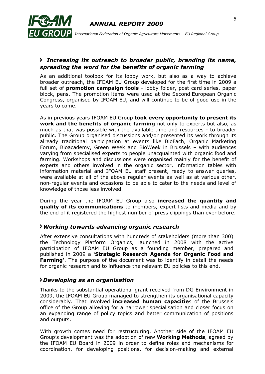

 *International Federation of Organic Agriculture Movements – EU Regional Group*

#### *Increasing its outreach to broader public, branding its name, spreading the word for the benefits of organic farming*

As an additional toolbox for its lobby work, but also as a way to achieve broader outreach, the IFOAM EU Group developed for the first time in 2009 a full set of **promotion campaign tools** - lobby folder, post card series, paper block, pens. The promotion items were used at the Second European Organic Congress, organised by IFOAM EU, and will continue to be of good use in the years to come.

As in previous years IFOAM EU Group **took every opportunity to present its work and the benefits of organic farming** not only to experts but also, as much as that was possible with the available time and resources - to broader public. The Group organised discussions and/or presented its work through its already traditional participation at events like BioFach, Organic Marketing Forum, Bioacademy, Green Week and BioWeek in Brussels – with audiences varying from specialised experts to people unacquainted with organic food and farming. Workshops and discussions were organised mainly for the benefit of experts and others involved in the organic sector, information tables with information material and IFOAM EU staff present, ready to answer queries, were available at all of the above regular events as well as at various other, non-regular events and occasions to be able to cater to the needs and level of knowledge of those less involved.

During the year the IFOAM EU Group also **increased the quantity and quality of its communications** to members, expert lists and media and by the end of it registered the highest number of press clippings than ever before.

#### *Working towards advancing organic research*

After extensive consultations with hundreds of stakeholders (more than 300) the Technology Platform Organics, launched in 2008 with the active participation of IFOAM EU Group as a founding member, prepared and published in 2009 a **'Strategic Research Agenda for Organic Food and Farming'**. The purpose of the document was to identify in detail the needs for organic research and to influence the relevant EU policies to this end.

#### *Developing as an organisation*

Thanks to the substantial operational grant received from DG Environment in 2009, the IFOAM EU Group managed to strengthen its organisational capacity considerably. That involved **increased human capacitie**s of the Brussels office of the Group allowing for a narrower specialisation and closer focus on an expanding range of policy topics and better communication of positions and outputs.

With growth comes need for restructuring. Another side of the IFOAM EU Group"s development was the adoption of new **Working Methods**, agreed by the IFOAM EU Board in 2009 in order to define roles and mechanisms for coordination, for developing positions, for decision-making and external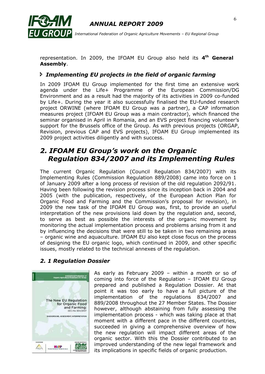

 *International Federation of Organic Agriculture Movements – EU Regional Group*

representation. In 2009, the IFOAM EU Group also held its 4<sup>th</sup> General **Assembly**.

#### *Implementing EU projects in the field of organic farming*

In 2009 IFOAM EU Group implemented for the first time an extensive work agenda under the Life+ Programme of the European Commission/DG Environment and as a result had the majority of its activities in 2009 co-funded by Life+. During the year it also successfully finalised the EU-funded research project ORWINE (where IFOAM EU Group was a partner), a CAP information measures project (IFOAM EU Group was a main contractor), which financed the seminar organised in April in Romania, and an EVS project financing volunteer"s support for the Brussels office of the Group. As with previous projects (ORGAP, Revision, previous CAP and EVS projects), IFOAM EU Group implemented its 2009 project activities diligently and with success.

## *2. IFOAM EU Group's work on the Organic Regulation 834/2007 and its Implementing Rules*

The current Organic Regulation (Council Regulation 834/2007) with its Implementing Rules (Commission Regulation 889/2008) came into force on 1 of January 2009 after a long process of revision of the old regulation 2092/91. Having been following the revision process since its inception back in 2004 and 2005 (with the publication, respectively, of the European Action Plan for Organic Food and Farming and the Commission's proposal for revision), in 2009 the new task of the IFOAM EU Group was, first, to provide an useful interpretation of the new provisions laid down by the regulation and, second, to serve as best as possible the interests of the organic movement by monitoring the actual implementation process and problems arising from it and by influencing the decisions that were still to be taken in two remaining areas – organic wine and aquaculture. IFOAM EU also kept close focus on the process of designing the EU organic logo, which continued in 2009, and other specific issues, mostly related to the technical annexes of the regulation.

#### *2. 1 Regulation Dossier*



As early as February 2009 – within a month or so of coming into force of the Regulation – IFOAM EU Group prepared and published a Regulation Dossier. At that point it was too early to have a full picture of the implementation of the regulations 834/2007 and 889/2008 throughout the 27 Member States. The Dossier however, although abstaining from fully assessing the implementation process - which was taking place at that moment with a different pace in the different countries, succeeded in giving a comprehensive overview of how the new regulation will impact different areas of the organic sector. With this the Dossier contributed to an improved understanding of the new legal framework and its implications in specific fields of organic production.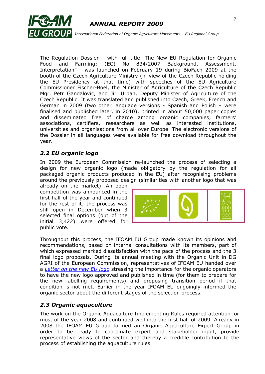

The Regulation Dossier – with full title "The New EU Regulation for Organic Food and Farming: (EC) No 834/2007 Background, Assessment, Interpretation" - was launched on February 19 during BioFach 2009 at the booth of the Czech Agriculture Ministry (in view of the Czech Republic holding the EU Presidency at that time) with speeches of the EU Agriculture Commissioner Fischer-Boel, the Minister of Agriculture of the Czech Republic Mgr. Petr Gandalovic, and Jiri Urban, Deputy Minister of Agriculture of the Czech Republic. It was translated and published into Czech, Greek, French and German in 2009 (two other language versions - Spanish and Polish – were finalised and published later, in 2010), printed in about 50,000 paper copies and disseminated free of charge among organic companies, farmers" associations, certifiers, researchers as well as interested institutions, universities and organisations from all over Europe. The electronic versions of the Dossier in all languages were available for free download throughout the year.

## *2.2 EU organic logo*

In 2009 the European Commission re-launched the process of selecting a design for new organic logo (made obligatory by the regulation for all packaged organic products produced in the EU) after recognising problems around the previously proposed design (similarities with another logo that was

already on the market). An open competition was announced in the first half of the year and continued for the rest of it; the process was still open in December when 3 selected final options (out of the initial 3,422) were offered for public vote.



Throughout this process, the IFOAM EU Group made known its opinions and recommendations, based on internal consultations with its members, part of which expressed marked dissatisfaction with the pace of the process and the 3 final logo proposals. During its annual meeting with the Organic Unit in DG AGRI of the European Commission, representatives of IFOAM EU handed over a *Letter [on the new EU logo](http://www.ifoam.org/about_ifoam/around_world/eu_group-new/positions/Papers/pdf/IFOAM_EU_letter_new_organic_logo_Dec_20092.pdf)* stressing the importance for the organic operators to have the new logo approved and published in time (for them to prepare for the new labelling requirements) and proposing transition period if that condition is not met. Earlier in the year IFOAM EU ongoingly informed the organic sector about the different stages of the selection process.

#### *2.3 Organic aquaculture*

The work on the Organic Aquaculture Implementing Rules required attention for most of the year 2008 and continued well into the first half of 2009. Already in 2008 the IFOAM EU Group formed an Organic Aquaculture Expert Group in order to be ready to coordinate expert and stakeholder input, provide representative views of the sector and thereby a credible contribution to the process of establishing the aquaculture rules.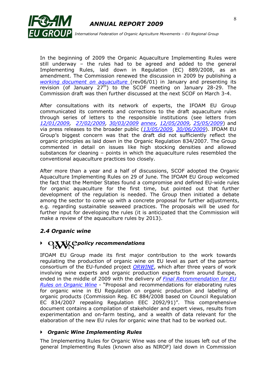

 *International Federation of Organic Agriculture Movements – EU Regional Group*

In the beginning of 2009 the Organic Aquaculture Implementing Rules were still underway – the rules had to be agreed and added to the general Implementing Rules, laid down in Regulation (EC) 889/2008, as an amendment. The Commission renewed the discussion in 2009 by publishing a *[working document on aquaculture](http://www.ifoam.org/about_ifoam/around_world/eu_group-new/workareas/regulation/revision/pdf/COM_working-doc_aquaculture_06.01.2009.pdf)* (rev06/01) in January and presenting its revision (of January  $27<sup>th</sup>$ ) to the SCOF meeting on January 28-29. The Commission draft was then further discussed at the next SCOF on March 3-4.

After consultations with its network of experts, the IFOAM EU Group communicated its comments and corrections to the draft aquaculture rules through series of letters to the responsible institutions (see letters from *[12/01/2009,](http://www.ifoam.org/about_ifoam/around_world/eu_group-new/positions/Papers/pdf/Letter_IFOAMEU_revision_aquaculture_processing_12.01.2009.pdf) [27/02/2009,](http://www.ifoam.org/about_ifoam/around_world/eu_group-new/positions/Papers/pdf/Letter_IFOAMEU_COM_aquaculture_27.02.2009.pdf) [30/03/2009](http://www.ifoam.org/about_ifoam/around_world/eu_group-new/positions/Papers/pdf/Let_Hulot_Aquaculture_30.03.2009_final.pdf) [annex,](http://www.ifoam.org/about_ifoam/around_world/eu_group-new/positions/Papers/doc/Letter_IFOAMEU_COM_aquaculture_annex_30.03.09.doc) [12/05/2009,](http://www.ifoam.org/about_ifoam/around_world/eu_group-new/positions/Papers/pdf/Letter_IFOAMEU_COM_SCOF_aquaculture_12.05.2009.pdf) [25/05/2009](http://www.ifoam.org/about_ifoam/around_world/eu_group-new/positions/Papers/pdf/Letter_IFOAMEU_COM_SCOF_aquaculture_25.06.2009.pdf)*) and via press releases to the broader public (*[13/05/2009,](http://www.ifoam.org/about_ifoam/around_world/eu_group-new/media/pdf/PR_IFOAMEU_Aquaculture_13.05.2009.pdf) [30/06/2009](http://www.ifoam.org/about_ifoam/around_world/eu_group-new/media/pdf/PR_IFOAMEUGroup_Aqua_30062009.pdf)*). IFOAM EU Group"s biggest concern was that the draft did not sufficiently reflect the organic principles as laid down in the Organic Regulation 834/2007. The Group commented in detail on issues like high stocking densities and allowed substances for cleaning – points in which the aquaculture rules resembled the conventional aquaculture practices too closely.

After more than a year and a half of discussions, SCOF adopted the Organic Aquaculture Implementing Rules on 29 of June. The IFOAM EU Group welcomed the fact that the Member States found a compromise and defined EU-wide rules for organic aquaculture for the first time, but pointed out that further development of the regulation is needed. The Group then initiated a debate among the sector to come up with a concrete proposal for further adjustments, e.g. regarding sustainable seaweed practices. The proposals will be used for further input for developing the rules (it is anticipated that the Commission will make a review of the aquaculture rules by 2013).

#### *2.4 Organic wine*

# *POLIX C policy recommendations*

IFOAM EU Group made its first major contribution to the work towards regulating the production of organic wine on EU level as part of the partner consortium of the EU-funded project *[ORWINE](http://www.orwine.org/)*, which after three years of work involving wine experts and organic production experts from around Europe, ended in the middle of 2009 with the delivery *of [Final Recommendation for EU](http://www.orwine.org/intranet/libretti/d%205.8%20final%20version%201st%20july%20_263_01_0_.pdf)  [Rules on Organic Wine](http://www.orwine.org/intranet/libretti/d%205.8%20final%20version%201st%20july%20_263_01_0_.pdf) -* "Proposal and recommendations for elaborating rules for organic wine in EU Regulation on organic production and labelling of organic products (Commission Reg. EC 884/2008 based on Council Regulation EC 834/2007 repealing Regulation EEC 2092/91)". This comprehensive document contains a compilation of stakeholder and expert views, results from experimentation and on-farm testing, and a wealth of data relevant for the elaboration of the new EU rules for organic wine that had to be worked out.

#### *Organic Wine Implementing Rules*

The Implementing Rules for Organic Wine was one of the issues left out of the general Implementing Rules (known also as NIROF) laid down in Commission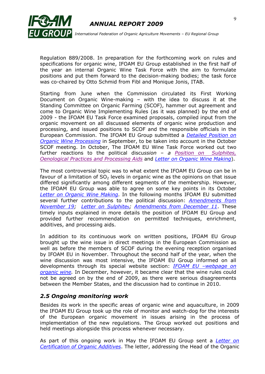

Regulation 889/2008. In preparation for the forthcoming work on rules and specifications for organic wine, IFOAM EU Group established in the first half of the year an internal Organic Wine Task Force with the aim to formulate positions and put them forward to the decision-making bodies; the task force was co-chaired by Otto Schmid from Fibl and Monique Jonis, ITAB.

Starting from June when the Commission circulated its First Working Document on Organic Wine-making – with the idea to discuss it at the Standing Committee on Organic Farming (SCOF), hammer out agreement and come to Organic Wine Implementing Rules (as it was planned) by the end of 2009 - the IFOAM EU Task Force examined proposals, compiled input from the organic movement on all discussed elements of organic wine production and processing, and issued positions to SCOF and the responsible officials in the European Commission. The IFOAM EU Group submitted a *[Detailed Position](http://www.ifoam.org/about_ifoam/around_world/eu_group-new/positions/Papers/pdf/Position_IFOAMEU_wine_processing_25.09.2009.pdf) on [Organic Wine Processing](http://www.ifoam.org/about_ifoam/around_world/eu_group-new/positions/Papers/pdf/Position_IFOAMEU_wine_processing_25.09.2009.pdf)* in September, to be taken into account in the October SCOF meeting. In October, The IFOAM EU Wine Task Force worked out two further reactions to the political discu*ssion – a [Position on](http://www.ifoam.org/about_ifoam/around_world/eu_group-new/positions/Papers/pdf/Position_IFOAMEU_wine_processing_16.10.2009.pdf) Sulphites, [Oenological Practices and Processing Aids](http://www.ifoam.org/about_ifoam/around_world/eu_group-new/positions/Papers/pdf/Position_IFOAMEU_wine_processing_16.10.2009.pdf)* and *[Letter on Organic Wine Making](http://www.ifoam.org/about_ifoam/around_world/eu_group-new/positions/Papers/pdf/Letter_IFOAMEU_COM_wine_processing_28.10.2009.pdf)*).

The most controversial topic was to what extent the IFOAM EU Group can be in favour of a limitation of  $SO<sub>2</sub>$  levels in organic wine as the opinions on that issue differed significantly among different segments of the membership. However, the IFOAM EU Group was able to agree on some key points in its October *[Letter on Organic Wine Making](http://www.ifoam.org/about_ifoam/around_world/eu_group-new/positions/Papers/pdf/Letter_IFOAMEU_COM_wine_processing_28.10.2009.pdf)*. In the following months IFOAM EU submitted several further contributions to the political discussion: *[Amendments](http://www.ifoam.org/about_ifoam/around_world/eu_group-new/positions/Papers/pdf/Amendments_IFOAMEU_organic_wine_regulation_19.11.2009.pdf) from [November 19;](http://www.ifoam.org/about_ifoam/around_world/eu_group-new/positions/Papers/pdf/Amendments_IFOAMEU_organic_wine_regulation_19.11.2009.pdf) [Letter on Sulphite](http://www.ifoam.org/about_ifoam/around_world/eu_group-new/positions/Papers/pdf/Letter_IFOAMEU_COM_organic_wine_SO2_4.12.2009.pdf)*s*; [Amendments from December 11](http://www.ifoam.org/about_ifoam/around_world/eu_group-new/positions/Papers/pdf/Amendments_IFOAMEU_organic_wine_11.12.2009corrected.pdf)*. These timely inputs explained in more details the position of IFOAM EU Group and provided further recommendation on permitted techniques, enrichment, additives, and processing aids.

In addition to its continuous work on written positions, IFOAM EU Group brought up the wine issue in direct meetings in the European Commission as well as before the members of SCOF during the evening reception organised by IFOAM EU in November. Throughout the second half of the year, when the wine discussion was most intensive, the IFOAM EU Group informed on all developments through its special website section: *IFOAM EU –[webpage on](http://www.ifoam.org/about_ifoam/around_world/eu_group-new/workareas/regulation/php/wine.php)  [organic wine.](http://www.ifoam.org/about_ifoam/around_world/eu_group-new/workareas/regulation/php/wine.php)* In December, however, it became clear that the wine rules could not be agreed on by the end of 2009, as there were serious disagreements between the Member States, and the discussion had to continue in 2010.

#### *2.5 Ongoing monitoring work*

Besides its work in the specific areas of organic wine and aquaculture, in 2009 the IFOAM EU Group took up the role of monitor and watch-dog for the interests of the European organic movement in issues arising in the process of implementation of the new regulations. The Group worked out positions and held meetings alongside this process whenever necessary.

As part of this ongoing work in May the IFOAM EU Group sent a *[Letter on](http://www.ifoam.org/about_ifoam/around_world/eu_group-new/positions/Papers/pdf/Letter_IFOAMEU_organic_additives_08.05.2009.pdf)  [Certification of Organic](http://www.ifoam.org/about_ifoam/around_world/eu_group-new/positions/Papers/pdf/Letter_IFOAMEU_organic_additives_08.05.2009.pdf) Additives*. The letter, addressing the Head of the Organic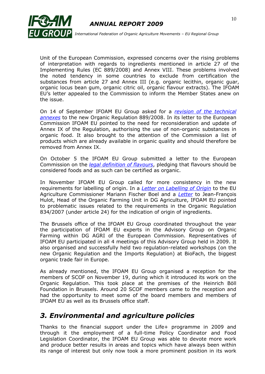

Unit of the European Commission, expressed concerns over the rising problems of interpretation with regards to ingredients mentioned in article 27 of the Implementing Rules (EC 889/2008) and Annex VIII. These problems involved the noted tendency in some countries to exclude from certification the substances from article 27 and Annex III (e.g. organic lecithin, organic guar, organic locus bean gum, organic citric oil, organic flavour extracts). The IFOAM EU"s letter appealed to the Commission to inform the Member States anew on the issue.

On 14 of September IFOAM EU Group asked for a *[revision of the technical](http://www.ifoam.org/about_ifoam/around_world/eu_group-new/positions/Papers/pdf/Letter_IFOAMEU_COM_processingaids_14.09.2009.pdf)  [annexes](http://www.ifoam.org/about_ifoam/around_world/eu_group-new/positions/Papers/pdf/Letter_IFOAMEU_COM_processingaids_14.09.2009.pdf)* to the new Organic Regulation 889/2008. In its letter to the European Commission IFOAM EU pointed to the need for reconsideration and update of Annex IX of the Regulation, authorising the use of non-organic substances in organic food. It also brought to the attention of the Commission a list of products which are already available in organic quality and should therefore be removed from Annex IX.

On October 5 the IFOAM EU Group submitted a letter to the European Commission on the *[legal definition of flavours](http://www.ifoam.org/about_ifoam/around_world/eu_group-new/positions/Papers/pdf/letter_food_flavors_05102009.pdf)*, pledging that flavours should be considered foods and as such can be certified as organic.

In November IFOAM EU Group called for more consistency in the new requirements for labelling of origin. In a *[Letter on Labelling of Origin](http://www.ifoam.org/about_ifoam/around_world/eu_group-new/positions/Papers/pdf/Letter_IFOAMEU_COM_MFB_originlabeling_13.11.2009.pdf)* to the EU Agriculture Commissioner Mariann Fischer Boel and a *[Letter](http://www.ifoam.org/about_ifoam/around_world/eu_group-new/positions/Papers/pdf/Letter_IFOAMEU_COM_originlabeling_12.11.2009.pdf)* to Jean-François Hulot, Head of the Organic Farming Unit in DG Agriculture, IFOAM EU pointed to problematic issues related to the requirements in the Organic Regulation 834/2007 (under article 24) for the indication of origin of ingredients.

The Brussels office of the IFOAM EU Group coordinated throughout the year the participation of IFOAM EU experts in the Advisory Group on Organic Farming within DG AGRI of the European Commission. Representatives of IFOAM EU participated in all 4 meetings of this Advisory Group held in 2009. It also organised and successfully held two regulation-related workshops (on the new Organic Regulation and the Imports Regulation) at BioFach, the biggest organic trade fair in Europe.

As already mentioned, the IFOAM EU Group organised a reception for the members of SCOF on November 19, during which it introduced its work on the Organic Regulation. This took place at the premises of the Heinrich Böll Foundation in Brussels. Around 20 SCOF members came to the reception and had the opportunity to meet some of the board members and members of IFOAM EU as well as its Brussels office staff.

## *3. Environmental and agriculture policies*

Thanks to the financial support under the Life+ programme in 2009 and through it the employment of a full-time Policy Coordinator and Food Legislation Coordinator, the IFOAM EU Group was able to devote more work and produce better results in areas and topics which have always been within its range of interest but only now took a more prominent position in its work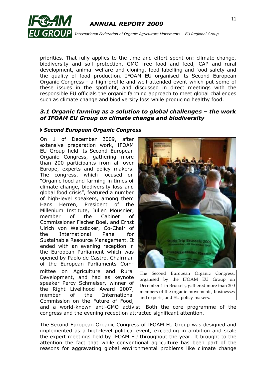

priorities. That fully applies to the time and effort spent on: climate change, biodiversity and soil protection, GMO free food and feed, CAP and rural development, animal welfare and cloning, food labelling and food safety and the quality of food production. IFOAM EU organised its Second European Organic Congress - a high-profile and well-attended event which put some of these issues in the spotlight, and discussed in direct meetings with the responsible EU officials the organic farming approach to meet global challenges such as climate change and biodiversity loss while producing healthy food.

#### *3.1 Organic farming as a solution to global challenges – the work of IFOAM EU Group on climate change and biodiversity*

#### *Second European Organic Congress*

On 1 of December 2009, after extensive preparation work, IFOAM EU Group held its Second European Organic Congress, gathering more than 200 participants from all over Europe, experts and policy makers. The congress, which focused on "Organic food and farming in times of climate change, biodiversity loss and global food crisis", featured a number of high-level speakers, among them Hans Herren, President of the Millenium Institute, Julien Mousnier, member of the Cabinet of Commissioner Fischer Boel, and Ernst Ulrich von Weizsäcker, Co-Chair of the International Panel for Sustainable Resource Management. It ended with an evening reception in the European Parliament which was opened by Paolo de Castro, Chairman of the European Parliaments Committee on Agriculture and Rural Development, and had as keynote speaker Percy Schmeiser, winner of the Right Livelihood Award 2007, member of the International Commission on the Future of Food,



The Second European Organic Congress, organised by the IFOAM EU Group on December 1 in Brussels, gathered more than 200 members of the organic movements, businesses and experts, and EU policy-makers.

and a world-known anti-GMO activist. Both the core programme of the congress and the evening reception attracted significant attention.

The Second European Organic Congress of IFOAM EU Group was designed and implemented as a high-level political event, exceeding in ambition and scale the expert meetings held by IFOAM EU throughout the year. It brought to the attention the fact that while conventional agriculture has been part of the reasons for aggravating global environmental problems like climate change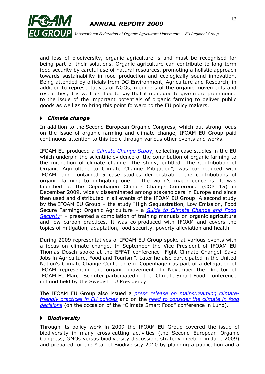



and loss of biodiversity, organic agriculture is and must be recognised for being part of their solutions. Organic agriculture can contribute to long-term food security by careful use of natural resources, promoting a holistic approach towards sustainability in food production and ecologically sound innovation. Being attended by officials from DG Environment, Agriculture and Research, in addition to representatives of NGOs, members of the organic movements and researches, it is well justified to say that it managed to give more prominence to the issue of the important potentials of organic farming to deliver public goods as well as to bring this point forward to the EU policy makers.

#### *Climate change*

In addition to the Second European Organic Congress, which put strong focus on the issue of organic farming and climate change, IFOAM EU Group paid continuous attention to this topic through various other events and works.

IFOAM EU produced a *[Climate Change Stud](http://www.ifoam.org/growing_organic/1_arguments_for_oa/environmental_benefits/pdfs/IFOAM-CC-Mitigation-Web.pdf)*y, collecting case studies in the EU which underpin the scientific evidence of the contribution of organic farming to the mitigation of climate change. The study, entitled "The Contribution of Organic Agriculture to Climate Change Mitigation", was co-produced with IFOAM, and contained 5 case studies demonstrating the contributions of organic farming to mitigating one of the world's major concerns. It was launched at the Copenhagen Climate Change Conference (COP 15) in December 2009, widely disseminated among stakeholders in Europe and since then used and distributed in all events of the IFOAM EU Group. A second study by the IFOAM EU Group – the study "High Sequestration, Low Emission, Food Secure Farming: Organic Agriculture – a *[Guide to Climate Change and Food](http://www.ifoam.org/growing_organic/1_arguments_for_oa/environmental_benefits/pdfs/IFOAM-CC-Guide-Web-20100210.pdf)  [Security](http://www.ifoam.org/growing_organic/1_arguments_for_oa/environmental_benefits/pdfs/IFOAM-CC-Guide-Web-20100210.pdf)*" – presented a compilation of training manuals on organic agriculture and low carbon practices. It was co-produced with IFOAM and covers the topics of mitigation, adaptation, food security, poverty alleviation and health.

During 2009 representatives of IFOAM EU Group spoke at various events with a focus on climate change. In September the Vice President of IFOAM EU Thomas Dosch spoke at the EFFAT conference "Fight Climate Change! Save Jobs in Agriculture, Food and Tourism". Later he also participated in the United Nation"s Climate Change Conference in Copenhagen as part of a delegation of IFOAM representing the organic movement. In November the Director of IFOAM EU Marco Schluter participated in the "Climate Smart Food" conference in Lund held by the Swedish EU Presidency.

The IFOAM EU Group also issued a *[press release on mainstreaming climate](http://www.ifoam.org/about_ifoam/around_world/eu_group-new/media/pdf/PR_IFOAMEU_ClimateChange_14.09.2009.pdf)[friendly practices in EU policies](http://www.ifoam.org/about_ifoam/around_world/eu_group-new/media/pdf/PR_IFOAMEU_ClimateChange_14.09.2009.pdf)* and on the *[need to consider the climate in food](http://www.ifoam.org/about_ifoam/around_world/eu_group-new/media/pdf/PR_IFOAMEUGroup_ClimateSmartFood_24.11.2009.pdf)  [decisions](http://www.ifoam.org/about_ifoam/around_world/eu_group-new/media/pdf/PR_IFOAMEUGroup_ClimateSmartFood_24.11.2009.pdf)* (on the occasion of the "Climate Smart Food" conference in Lund).

#### *Biodiversity*

Through its policy work in 2009 the IFOAM EU Group covered the issue of biodiversity in many cross-cutting activities (the Second European Organic Congress, GMOs versus biodiversity discussion, strategy meeting in June 2009) and prepared for the Year of Biodiversity 2010 by planning a publication and a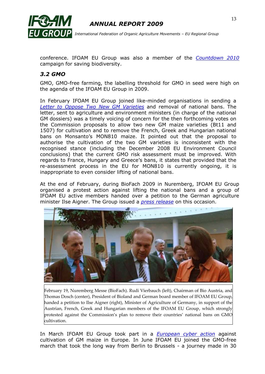

 *International Federation of Organic Agriculture Movements – EU Regional Group*

conference. IFOAM EU Group was also a member of the *[Countdown 2010](http://www.countdown2010.net/)* campaign for saving biodiversity.

#### *3.2 GMO*

GMO, GMO-free farming, the labelling threshold for GMO in seed were high on the agenda of the IFOAM EU Group in 2009.

In February IFOAM EU Group joined like-minded organisations in sending a *[Letter to Oppose Two New GM Varieties](http://www.ifoam.org/about_ifoam/around_world/eu_group/Bt11_and_1507_in_2009_Letter_to_Ministers_FINAL_4_02_09.doc)* and removal of national bans. The letter, sent to agriculture and environment ministers (in charge of the national GM dossiers) was a timely voicing of concern for the then forthcoming votes on the Commission proposals to allow two new GM maize varieties (Bt11 and 1507) for cultivation and to remove the French, Greek and Hungarian national bans on Monsanto's MON810 maize. It pointed out that the proposal to authorise the cultivation of the two GM varieties is inconsistent with the recognised stance (including the December 2008 EU Environment Council conclusions) that the current GMO risk assessment must be improved. With regards to France, Hungary and Greece"s bans, it states that provided that the re-assessment process in the EU for MON810 is currently ongoing, it is inappropriate to even consider lifting of national bans.

At the end of February, during BioFach 2009 in Nuremberg, IFOAM EU Group organised a protest action against lifting the national bans and a group of IFOAM EU active members handed over a petition to the German agriculture minister Ilse Aigner. The Group issued a *[press release](http://www.ifoam.org/about_ifoam/around_world/eu_group-new/media/pdf/PR_IFOAMEUGroup_GMObans_19.02.2009.pdf)* on this occasion.



February 19, Nuremberg Messe (BioFach). Rudi Vierbauch (left), Chairman of Bio Austria, and Thomas Dosch (center), President of Bioland and German board member of IFOAM EU Group, handed a petition to Ilse Aigner (right), Minister of Agriculture of Germany, in support of the Austrian, French, Greek and Hungarian members of the IFOAM EU Group, which strongly protested against the Commission's plan to remove their countries' national bans on GMO cultivation.

In March IFOAM EU Group took part in a *[European cyber action](http://www.ifoam.org/about_ifoam/around_world/eu_group-new/news/php/CyberAction_GMmaize.php)* against cultivation of GM maize in Europe. In June IFOAM EU joined the GMO-free march that took the long way from Berlin to Brussels - a journey made in 30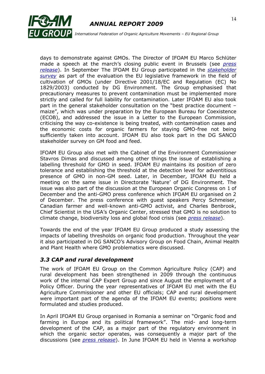

 *International Federation of Organic Agriculture Movements – EU Regional Group*

days to demonstrate against GMOs. The Director of IFOAM EU Marco Schlüter made a speech at the march"s closing public event in Brussels (see *[press](http://www.ifoam.org/about_ifoam/around_world/eu_group-new/media/pdf/PR_IFOAMEU_MarchGMO-freeEurope.30.07.2009.pdf)  [release](http://www.ifoam.org/about_ifoam/around_world/eu_group-new/media/pdf/PR_IFOAMEU_MarchGMO-freeEurope.30.07.2009.pdf)*). In September The IFOAM EU Group participated in the *[stakeholder](http://ec.europa.eu/food/food/biotechnology/evaluation/index_en.htm)  [survey](http://ec.europa.eu/food/food/biotechnology/evaluation/index_en.htm)* as part of the evaluation the EU legislative framework in the field of cultivation of GMOs (under Directive 2001/18/EC and Regulation (EC) No 1829/2003) conducted by DG Environment. The Group emphasised that precautionary measures to prevent contamination must be implemented more strictly and called for full liability for contamination. Later IFOAM EU also took part in the general stakeholder consultation on the "best practice document – maize", which was under preparation by the European Bureau for Coexistence (ECOB), and addressed the issue in a Letter to the European Commission, criticising the way co-existence is being treated, with contamination cases and the economic costs for organic farmers for staying GMO-free not being sufficiently taken into account. IFOAM EU also took part in the DG SANCO stakeholder survey on GM food and feed.

IFOAM EU Group also met with the Cabinet of the Environment Commissioner Stavros Dimas and discussed among other things the issue of establishing a labelling threshold for GMO in seed. IFOAM EU maintains its position of zero tolerance and establishing the threshold at the detection level for adventitious presence of GMO in non-GM seed. Later, in December, IFOAM EU held a meeting on the same issue in Directorate "Nature" of DG Environment. The issue was also part of the discussion at the European Organic Congress on 1 of December and the anti-GMO press conference which IFOAM EU organised on 2 of December. The press conference with guest speakers Percy Schmeiser, Canadian farmer and well-known anti-GMO activist, and Charles Benbrook, Chief Scientist in the USA"s Organic Center, stressed that GMO is no solution to climate change, biodiversity loss and global food crisis (see *[press release](http://www.ifoam.org/about_ifoam/around_world/eu_group-new/media/pdf/PR_IFOAMEUGroup_GMOoffersnosolution_2.12.2009.pdf)*).

Towards the end of the year IFOAM EU Group produced a study assessing the impacts of labelling thresholds on organic food production. Throughout the year it also participated in DG SANCO"s Advisory Group on Food Chain, Animal Health and Plant Health where GMO problematics were discussed.

#### *3.3 CAP and rural development*

The work of IFOAM EU Group on the Common Agriculture Policy (CAP) and rural development has been strengthened in 2009 through the continuous work of the internal CAP Expert Group and since August the employment of a Policy Officer. During the year representatives of IFOAM EU met with the EU Agriculture Commissioner and other EU officials; CAP and rural development were important part of the agenda of the IFOAM EU events; positions were formulated and studies produced.

In April IFOAM EU Group organised in Romania a seminar on "Organic food and farming in Europe and its political framework". The mid- and long-term development of the CAP, as a major part of the regulatory environment in which the organic sector operates, was consequently a major part of the discussions (see *[press release](http://www.ifoam.org/about_ifoam/around_world/eu_group-new/media/pdf/PR_IFOAMEUGroup_SeminarRomania_22.04.2009.pdf)*). In June IFOAM EU held in Vienna a workshop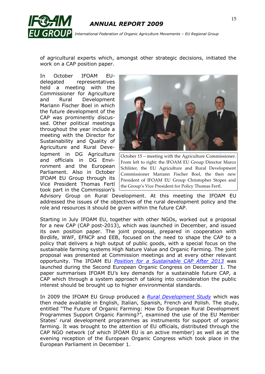

of agricultural experts which, amongst other strategic decisions, initiated the work on a CAP position paper.

In October IFOAM EUdelegated representatives held a meeting with the Commissioner for Agriculture and Rural Development Mariann Fischer Boel in which the future development of the CAP was prominently discussed. Other political meetings throughout the year include a meeting with the Director for Sustainability and Quality of Agriculture and Rural Development in DG Agriculture and officials in DG Environment and the European Parliament. Also in October IFOAM EU Group through its Vice President Thomas Fertl took part in the Commission's



October 15 – meeting with the Agriculture Commissioner. From left to right: the IFOAM EU Group Director Marco Schlüter, the EU Agriculture and Rural Development Commissioner Mariann Fischer Boel, the then new President of IFOAM EU Group Christopher Stopes and the Group's Vice President for Policy Thomas Fertl.

Advisory Group on Rural Development. At this meeting the IFOAM EU addressed the issues of the objectives of the rural development policy and the role and resources it should be given within the future CAP.

Starting in July IFOAM EU, together with other NGOs, worked out a proposal for a new CAP (CAP post-2013), which was launched in December, and issued its own position paper. The joint proposal, prepared in cooperation with Birdlife, WWF, EFNCP and EEB, focused on the need to shape the CAP to a policy that delivers a high output of public goods, with a special focus on the sustainable farming systems High Nature Value and Organic Farming. The joint proposal was presented at Commission meetings and at every other relevant opportunity. The IFOAM EU *[Position for a Sustainable CAP After 2013](http://www.ifoam.org/about_ifoam/around_world/eu_group-new/positions/Papers/pdf/Position_IFOAMEU_CAP_12.2009.pdf)* was launched during the Second European Organic Congress on December 1. The paper summarises IFOAM EU"s key demands for a sustainable future CAP, a CAP which through a system approach of taking into consideration the public interest should be brought up to higher environmental standards.

In 2009 the IFOAM EU Group produced a *[Rural Development Study](http://www.ifoam.org/about_ifoam/around_world/eu_group-new/positions/Others_II/final-RD_study_7.1_web.pdf)* which was then made available in English, Italian, Spanish, French and Polish. The study, entitled "The Future of Organic Farming: How Do European Rural Development Programmes Support Organic Farming?", examined the use of the EU Member States' rural development programmes as instruments for support of organic farming. It was brought to the attention of EU officials, distributed through the CAP NGO network (of which IFOAM EU is an active member) as well as at the evening reception of the European Organic Congress which took place in the European Parliament in December 1.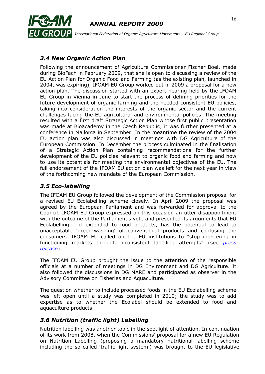

## *3.4 New Organic Action Plan*

Following the announcement of Agriculture Commissioner Fischer Boel, made during BioFach in February 2009, that she is open to discussing a review of the EU Action Plan for Organic Food and Farming (as the existing plan, launched in 2004, was expiring), IFOAM EU Group worked out in 2009 a proposal for a new action plan. The discussion started with an expert hearing held by the IFOAM EU Group in Vienna in June to start the process of defining priorities for the future development of organic farming and the needed consistent EU policies, taking into consideration the interests of the organic sector and the current challenges facing the EU agricultural and environmental policies. The meeting resulted with a first draft Strategic Action Plan whose first public presentation was made at Bioacademy in the Czech Republic; it was further presented at a conference in Mallorca in September. In the meantime the review of the 2004 EU action plan was also discussed in meetings with DG Agriculture of the European Commission. In December the process culminated in the finalisation of a Strategic Action Plan containing recommendations for the further development of the EU policies relevant to organic food and farming and how to use its potentials for meeting the environmental objectives of the EU. The full endorsement of the IFOAM EU action plan was left for the next year in view of the forthcoming new mandate of the European Commission.

#### *3.5 Eco-labelling*

The IFOAM EU Group followed the development of the Commission proposal for a revised EU Ecolabelling scheme closely. In April 2009 the proposal was agreed by the European Parliament and was forwarded for approval to the Council. IFOAM EU Group expressed on this occasion an utter disappointment with the outcome of the Parliament's vote and presented its arguments that EU Ecolabelling – if extended to food products, has the potential to lead to unacceptable "green-washing" of conventional products and confusing the consumers. IFOAM EU called on the EU institutions to "stop interfering in functioning markets through inconsistent labelling attempts" (see *[press](http://www.ifoam.org/about_ifoam/around_world/eu_group-new/media/pdf/PR_IFOAMEUGroup_Ecolabel_03.04.2009.pdf) [release](http://www.ifoam.org/about_ifoam/around_world/eu_group-new/media/pdf/PR_IFOAMEUGroup_Ecolabel_03.04.2009.pdf)*).

The IFOAM EU Group brought the issue to the attention of the responsible officials at a number of meetings in DG Environment and DG Agriculture. It also followed the discussions in DG MARE and participated as observer in the Advisory Committee on Fisheries and Aquaculture.

The question whether to include processed foods in the EU Ecolabelling scheme was left open until a study was completed in 2010; the study was to add expertise as to whether the Ecolabel should be extended to food and aquaculture products.

#### *3.6 Nutrition (traffic light) Labelling*

Nutrition labelling was another topic in the spotlight of attention. In continuation of its work from 2008, when the Commissions" proposal for a new EU Regulation on Nutrition Labelling (proposing a mandatory nutritional labelling scheme including the so called 'traffic light system') was brought to the EU legislative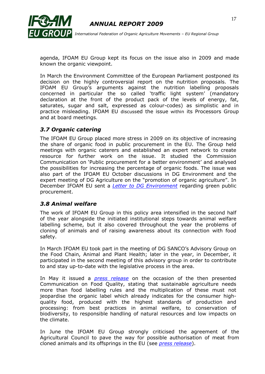

agenda, IFOAM EU Group kept its focus on the issue also in 2009 and made known the organic viewpoint.

In March the Environment Committee of the European Parliament postponed its decision on the highly controversial report on the nutrition proposals. The IFOAM EU Group"s arguments against the nutrition labelling proposals concerned in particular the so called "traffic light system" (mandatory declaration at the front of the product pack of the levels of energy, fat, saturates, sugar and salt, expressed as colour-codes) as simplistic and in practice misleading. IFOAM EU discussed the issue within its Processors Group and at board meetings.

## *3.7 Organic catering*

The IFOAM EU Group placed more stress in 2009 on its objective of increasing the share of organic food in public procurement in the EU. The Group held meetings with organic caterers and established an expert network to create resource for further work on the issue. It studied the Commission Communication on "Public procurement for a better environment" and analysed the possibilities for increasing the percentage of organic foods. The issue was also part of the IFOAM EU October discussions in DG Environment and the expert meeting of DG Agriculture on the "promotion of organic agriculture". In December IFOAM EU sent a *[Letter to DG Environment](http://www.ifoam.org/about_ifoam/around_world/eu_group-new/positions/Papers/pdf/Letter_IFOAMEU_organic_EU_canteens_22122009.pdf)* regarding green public procurement.

#### *3.8 Animal welfare*

The work of IFOAM EU Group in this policy area intensified in the second half of the year alongside the initiated institutional steps towards animal welfare labelling scheme, but it also covered throughout the year the problems of cloning of animals and of raising awareness about its connection with food safety.

In March IFOAM EU took part in the meeting of DG SANCO"s Advisory Group on the Food Chain, Animal and Plant Health; later in the year, in December, it participated in the second meeting of this advisory group in order to contribute to and stay up-to-date with the legislative process in the area.

In May it issued a *[press release](http://www.ifoam.org/about_ifoam/around_world/eu_group-new/media/pdf/PR_IFOAMEU_FoodLabellingRules_28.05.2009.pdf)* on the occasion of the then presented Communication on Food Quality, stating that sustainable agriculture needs more than food labelling rules and the multiplication of these must not jeopardise the organic label which already indicates for the consumer highquality food, produced with the highest standards of production and processing: from best practices in animal welfare, to conservation of biodiversity, to responsible handling of natural resources and low impacts on the climate.

In June the IFOAM EU Group strongly criticised the agreement of the Agricultural Council to pave the way for possible authorisation of meat from cloned animals and its offsprings in the EU (see *[press release](http://www.ifoam.org/about_ifoam/around_world/eu_group-new/media/pdf/PR_IFOAMEU_cloned_animals_23.06.2009.pdf)*).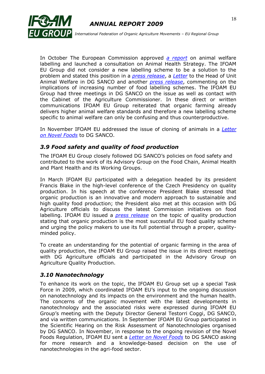



 *International Federation of Organic Agriculture Movements – EU Regional Group*

In October The European Commission approved *[a report](http://ec.europa.eu/food/animal/welfare/farm/options_animal_welfare_labelling_report_en.pdf)* on animal welfare labelling and launched a consultation on Animal Health Strategy. The IFOAM EU Group did not consider a new labelling scheme to be a solution to the problem and stated this position in a *[press release](http://www.ifoam.org/about_ifoam/around_world/eu_group-new/media/pdf/PR_IFOAMEUGroup_AnimalWelfare_8.10.2009.pdf)*, a *[Letter](http://www.ifoam.org/about_ifoam/around_world/eu_group-new/positions/Papers/pdf/Letter_IFOAMEU_COM_animal_welfare_14.10.2009.pdf)* to the Head of Unit Animal Welfare in DG SANCO and another *[press release](http://www.ifoam.org/about_ifoam/around_world/eu_group-new/media/pdf/PR_IFOAMEUGroup_Animalwelfarereport_28.10.2009.pdf)*, commenting on the implications of increasing number of food labelling schemes. The IFOAM EU Group had three meetings in DG SANCO on the issue as well as contact with the Cabinet of the Agriculture Commissioner. In these direct or written communications IFOAM EU Group reiterated that organic farming already delivers higher animal welfare standards and therefore a new labelling scheme specific to animal welfare can only be confusing and thus counterproductive.

In November IFOAM EU addressed the issue of cloning of animals in a *[Letter](http://www.ifoam.org/about_ifoam/around_world/eu_group-new/positions/Papers/pdf/Letter_IFOAMEU_COM_nanotechnology_05.11.2009.pdf)  [on Novel Foods](http://www.ifoam.org/about_ifoam/around_world/eu_group-new/positions/Papers/pdf/Letter_IFOAMEU_COM_nanotechnology_05.11.2009.pdf)* to DG SANCO.

#### *3.9 Food safety and quality of food production*

The IFOAM EU Group closely followed DG SANCO"s policies on food safety and contributed to the work of its Advisory Group on the Food Chain, Animal Health and Plant Health and its Working Groups.

In March IFOAM EU participated with a delegation headed by its president Francis Blake in the high-level conference of the Czech Presidency on quality production. In his speech at the conference President Blake stressed that organic production is an innovative and modern approach to sustainable and high quality food production; the President also met at this occasion with DG Agriculture officials to discuss the latest Commission initiatives on food labelling. IFOAM EU issued a *[press release](http://www.ifoam.org/about_ifoam/around_world/eu_group-new/media/pdf/PR_IFOAMEUGroup_QualityConference_12.03.2009.pdf)* on the topic of quality production stating that organic production is the most successful EU food quality scheme and urging the policy makers to use its full potential through a proper, qualityminded policy.

To create an understanding for the potential of organic farming in the area of quality production, the IFOAM EU Group raised the issue in its direct meetings with DG Agriculture officials and participated in the Advisory Group on Agriculture Quality Production.

#### *3.10 Nanotechnology*

To enhance its work on the topic, the IFOAM EU Group set up a special Task Force in 2009, which coordinated IFOAM EU's input to the ongoing discussion on nanotechnology and its impacts on the environment and the human health. The concerns of the organic movement with the latest developments in nanotechnology and the associated risks were expressed during IFOAM EU Group"s meeting with the Deputy Director General Testorri Coggi, DG SANCO, and via written communications. In September IFOAM EU Group participated in the Scientific Hearing on the Risk Assessment of Nanotechnologies organised by DG SANCO. In November, in response to the ongoing revision of the Novel Foods Regulation, IFOAM EU sent a *[Letter on Novel Foods](http://www.ifoam.org/about_ifoam/around_world/eu_group-new/positions/Papers/pdf/Letter_IFOAMEU_COM_nanotechnology_05.11.2009.pdf)* to DG SANCO asking for more research and a knowledge-based decision on the use of nanotechnologies in the agri-food sector.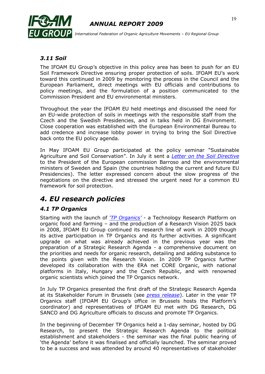

#### *3.11 Soil*

The IFOAM EU Group"s objective in this policy area has been to push for an EU Soil Framework Directive ensuring proper protection of soils. IFOAM EU's work toward this continued in 2009 by monitoring the process in the Council and the European Parliament, direct meetings with EU officials and contributions to policy meetings, and the formulation of a position communicated to the Commission President and EU environmental ministers.

Throughout the year the IFOAM EU held meetings and discussed the need for an EU-wide protection of soils in meetings with the responsible staff from the Czech and the Swedish Presidencies, and in talks held in DG Environment. Close cooperation was established with the European Environmental Bureau to add credence and increase lobby power in trying to bring the Soil Directive back onto the EU policy agenda.

In May IFOAM EU Group participated at the policy seminar "Sustainable Agriculture and Soil Conservation". In July it sent a *[Letter on the Soil Directive](http://www.ifoam.org/about_ifoam/around_world/eu_group-new/positions/Papers/pdf/Let_SoilDirective_July2009.pdf)* to the President of the European commission Barroso and the environmental ministers of Sweden and Spain (the countries holding the current and future EU Presidencies). The letter expressed concern about the slow progress of the negotiations on the directive and stressed the urgent need for a common EU framework for soil protection.

## *4. EU research policies*

#### *4.1 TP Organics*

Starting with the launch of *['TP Organics'](http://www.tporganics.eu/)* - a Technology Research Platform on organic food and farming – and the production of a Research Vision 2025 back in 2008, IFOAM EU Group continued its research line of work in 2009 though its active participation in TP Organics and its further activities. A significant upgrade on what was already achieved in the previous year was the preparation of a Strategic Research Agenda - a comprehensive document on the priorities and needs for organic research, detailing and adding substance to the points given with the Research Vision. In 2009 TP Organics further developed its collaboration with the ERA net CORE Organic, with national platforms in Italy, Hungary and the Czech Republic, and with renowned organic scientists which joined the TP Organics network.

In July TP Organics presented the first draft of the Strategic Research Agenda at its Stakeholder Forum in Brussels (see *[press release](http://www.ifoam.org/about_ifoam/around_world/eu_group-new/media/pdf/PR_TPOrganics_StakeholderForum_15.07.2009.pdf)*). Later in the year TP Organics staff (IFOAM EU Group"s office in Brussels hosts the Platform"s coordinator) and representatives of IFOAM EU met with DG Research, DG SANCO and DG Agriculture officials to discuss and promote TP Organics.

In the beginning of December TP Organics held a 1-day seminar, hosted by DG Research, to present the Strategic Research Agenda to the political establishment and stakeholders - the seminar was the final public hearing of "the Agenda" before it was finalised and officially launched. The seminar proved to be a success and was attended by around 40 representatives of stakeholder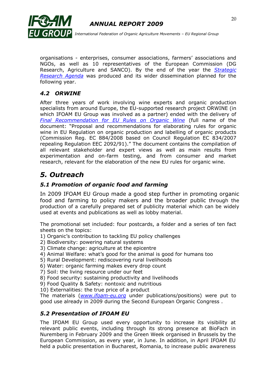

organisations - enterprises, consumer associations, farmers' associations and NGOs, as well as 10 representatives of the European Commission (DG Research, Agriculture and SANCO). By the end of the year the *[Strategic](http://www.tporganics.eu/upload/tporganics_strategicresearchagenda.pdf)  [Research Agenda](http://www.tporganics.eu/upload/tporganics_strategicresearchagenda.pdf)* was produced and its wider dissemination planned for the following year.

## *4.2 ORWINE*

After three years of work involving wine experts and organic production specialists from around Europe, the EU-supported research project ORWINE (in which IFOAM EU Group was involved as a partner) ended with the delivery of *[Final Recommendation for EU Rules on Organic Wine](http://www.orwine.org/intranet/libretti/d%205.8%20final%20version%201st%20july%20_263_01_0_.pdf)* (full name of the document: "Proposal and recommendations for elaborating rules for organic wine in EU Regulation on organic production and labelling of organic products (Commission Reg. EC 884/2008 based on Council Regulation EC 834/2007 repealing Regulation EEC 2092/91)." The document contains the compilation of all relevant stakeholder and expert views as well as main results from experimentation and on-farm testing, and from consumer and market research, relevant for the elaboration of the new EU rules for organic wine.

## *5. Outreach*

## *5.1 Promotion of organic food and farming*

In 2009 IFOAM EU Group made a good step further in promoting organic food and farming to policy makers and the broader public through the production of a carefully prepared set of publicity material which can be widely used at events and publications as well as lobby material.

The promotional set included: four postcards, a folder and a series of ten fact sheets on the topics:

- 1) Organic"s contribution to tackling EU policy challenges
- 2) Biodiversity: powering natural systems
- 3) Climate change: agriculture at the epicentre
- 4) Animal Welfare: what"s good for the animal is good for humans too
- 5) Rural Development: rediscovering rural livelihoods
- 6) Water: organic farming makes every drop count
- 7) Soil: the living resource under our feet
- 8) Food security: sustaining productivity and livelihoods
- 9) Food Quality & Safety: nontoxic and nutritious
- 10) Externalities: the true price of a product

The materials (*[www.ifoam-eu.org](http://www.ifoam-eu.org/)* under publications/positions) were put to good use already in 2009 during the Second European Organic Congress .

## *5.2 Presentation of IFOAM EU*

The IFOAM EU Group used every opportunity to increase its visibility at relevant public events, including through its strong presence at BioFach in Nuremberg in February 2009 and the Green Week organised in Brussels by the European Commission, as every year, in June. In addition, in April IFOAM EU held a public presentation in Bucharest, Romania, to increase public awareness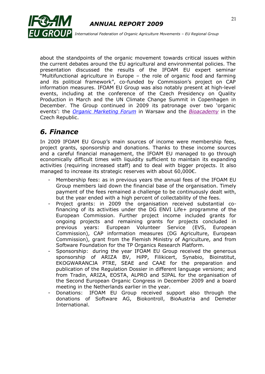

about the standpoints of the organic movement towards critical issues within the current debates around the EU agricultural and environmental policies. The presentation discussed the results of the IFOAM EU expert seminar "Multifunctional agriculture in Europe – the role of organic food and farming and its political framework", co-funded by Commission's project on CAP information measures. IFOAM EU Group was also notably present at high-level events, including at the conference of the Czech Presidency on Quality Production in March and the UN Climate Change Summit in Copenhagen in December. The Group continued in 2009 its patronage over two "organic events": the *[Organic Marketing Forum](http://www.organic-marketing-forum.org/index.php?option=com_content&task=view&id=59&Itemid=83)* in Warsaw and the *[Bioacademy](http://bio.bespin.cz/en:archiv:2009:konference_pro_praxi)* in the Czech Republic.

# *6. Finance*

In 2009 IFOAM EU Group's main sources of income were membership fees, project grants, sponsorship and donations. Thanks to these income sources and a careful financial management, the IFOAM EU managed to go through economically difficult times with liquidity sufficient to maintain its expanding activities (requiring increased staff) and to deal with bigger projects. It also managed to increase its strategic reserves with about 60,000€.

- Membership fees: as in previous years the annual fees of the IFOAM EU Group members laid down the financial base of the organisation. Timely payment of the fees remained a challenge to be continuously dealt with, but the year ended with a high percent of collectability of the fees.
- Project grants: in 2009 the organisation received substantial cofinancing of its activities under the DG ENVI Life+ programme of the European Commission. Further project income included grants for ongoing projects and remaining grants for projects concluded in previous years: European Volunteer Service (EVS, European Commission), CAP information measures (DG Agriculture, European Commission), grant from the Flemish Ministry of Agriculture, and from Software Foundation for the TP Organics Research Platform.
- Sponsorship: during the year IFOAM EU Group received the generous sponsorship of ARIZA BV, HiPP, Filikicert, Synabio, Bioinstitut, EKOGWARANCJA PTRE, SEAE and CAAE for the preparation and publication of the Regulation Dossier in different language versions; and from Tradin, ARIZA, EOSTA, ALPRO and SIPAL for the organisation of the Second European Organic Congress in December 2009 and a board meeting in the Netherlands earlier in the year.
- Donations: IFOAM EU Group received support also through the donations of Software AG, Biokontroll, BioAustria and Demeter International.